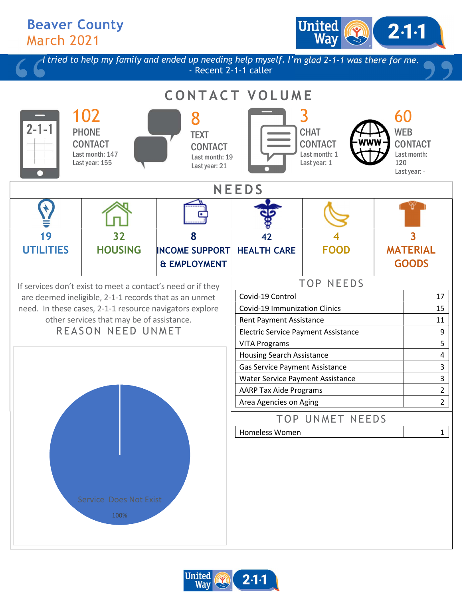Beaver County March 2021

United  $2.1 -$